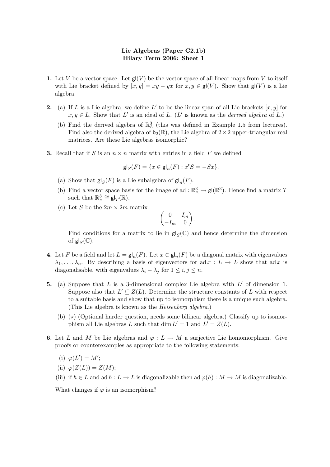- 1. Let V be a vector space. Let  $\mathsf{gl}(V)$  be the vector space of all linear maps from V to itself with Lie bracket defined by  $[x, y] = xy - yx$  for  $x, y \in \mathsf{gl}(V)$ . Show that  $\mathsf{gl}(V)$  is a Lie algebra.
- 2. (a) If L is a Lie algebra, we define L' to be the linear span of all Lie brackets  $[x, y]$  for  $x, y \in L$ . Show that L' is an ideal of L. (L' is known as the *derived algebra* of L.)
	- (b) Find the derived algebra of  $\mathbb{R}^3$  (this was defined in Example 1.5 from lectures). Find also the derived algebra of  $b_2(\mathbb{R})$ , the Lie algebra of  $2 \times 2$  upper-triangular real matrices. Are these Lie algebras isomorphic?
- **3.** Recall that if S is an  $n \times n$  matrix with entries in a field F we defined

$$
\mathsf{gl}_S(F) = \{ x \in \mathsf{gl}_n(F) : x^t S = -S x \}.
$$

- (a) Show that  $\mathsf{gl}_S(F)$  is a Lie subalgebra of  $\mathsf{gl}_n(F)$ .
- (b) Find a vector space basis for the image of ad :  $\mathbb{R}^3 \to \mathsf{gl}(\mathbb{R}^3)$ . Hence find a matrix T such that  $\mathbb{R}^3_\wedge \cong \mathsf{gl}_T(\mathbb{R})$ .
- (c) Let S be the  $2m \times 2m$  matrix

$$
\begin{pmatrix} 0 & I_m \\ -I_m & 0 \end{pmatrix}.
$$

Find conditions for a matrix to lie in  $\mathsf{gl}_S(\mathbb{C})$  and hence determine the dimension of  $\mathsf{gl}_S(\mathbb{C})$ .

- **4.** Let F be a field and let  $L = \mathsf{gl}_n(F)$ . Let  $x \in \mathsf{gl}_n(F)$  be a diagonal matrix with eigenvalues  $\lambda_1, \ldots, \lambda_n$ . By describing a basis of eigenvectors for ad  $x : L \to L$  show that ad x is diagonalisable, with eigenvalues  $\lambda_i - \lambda_j$  for  $1 \leq i, j \leq n$ .
- 5. (a) Suppose that  $L$  is a 3-dimensional complex Lie algebra with  $L'$  of dimension 1. Suppose also that  $L' \subseteq Z(L)$ . Determine the structure constants of L with respect to a suitable basis and show that up to isomorphism there is a unique such algebra. (This Lie algebra is known as the Heisenberg algebra.)
	- (b)  $(\star)$  (Optional harder question, needs some bilinear algebra.) Classify up to isomorphism all Lie algebras L such that  $\dim L' = 1$  and  $L' = Z(L)$ .
- 6. Let L and M be Lie algebras and  $\varphi: L \to M$  a surjective Lie homomorphism. Give proofs or counterexamples as appropriate to the following statements:
	- (i)  $\varphi(L') = M';$
	- (ii)  $\varphi(Z(L)) = Z(M);$
	- (iii) if  $h \in L$  and ad  $h : L \to L$  is diagonalizable then ad  $\varphi(h) : M \to M$  is diagonalizable.

What changes if  $\varphi$  is an isomorphism?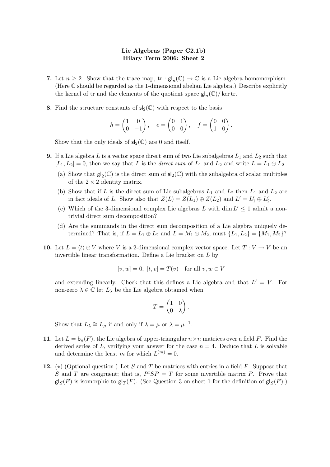- 7. Let  $n \geq 2$ . Show that the trace map,  $\text{tr} : \mathsf{gl}_n(\mathbb{C}) \to \mathbb{C}$  is a Lie algebra homomorphism. (Here C should be regarded as the 1-dimensional abelian Lie algebra.) Describe explicitly the kernel of tr and the elements of the quotient space  $\mathsf{gl}_n(\mathbb{C})/\ker \mathsf{tr}.$
- 8. Find the structure constants of  $sl_2(\mathbb{C})$  with respect to the basis

$$
h = \begin{pmatrix} 1 & 0 \\ 0 & -1 \end{pmatrix}, \quad e = \begin{pmatrix} 0 & 1 \\ 0 & 0 \end{pmatrix}, \quad f = \begin{pmatrix} 0 & 0 \\ 1 & 0 \end{pmatrix}.
$$

Show that the only ideals of  $sl_2(\mathbb{C})$  are 0 and itself.

- **9.** If a Lie algebra L is a vector space direct sum of two Lie subalgebras  $L_1$  and  $L_2$  such that  $[L_1, L_2] = 0$ , then we say that L is the *direct sum* of  $L_1$  and  $L_2$  and write  $L = L_1 \oplus L_2$ .
	- (a) Show that  $gl_2(\mathbb{C})$  is the direct sum of  $sl_2(\mathbb{C})$  with the subalgebra of scalar multiples of the  $2 \times 2$  identity matrix.
	- (b) Show that if L is the direct sum of Lie subalgebras  $L_1$  and  $L_2$  then  $L_1$  and  $L_2$  are in fact ideals of L. Show also that  $Z(L) = Z(L_1) \oplus Z(L_2)$  and  $L' = L'_1 \oplus L'_2$ .
	- (c) Which of the 3-dimensional complex Lie algebras L with dim  $L' \leq 1$  admit a nontrivial direct sum decomposition?
	- (d) Are the summands in the direct sum decomposition of a Lie algebra uniquely determined? That is, if  $L = L_1 \oplus L_2$  and  $L = M_1 \oplus M_2$ , must  $\{L_1, L_2\} = \{M_1, M_2\}$ ?
- 10. Let  $L = \langle t \rangle \oplus V$  where V is a 2-dimensional complex vector space. Let  $T : V \to V$  be an invertible linear transformation. Define a Lie bracket on L by

$$
[v, w] = 0, [t, v] = T(v) \text{ for all } v, w \in V
$$

and extending linearly. Check that this defines a Lie algebra and that  $L' = V$ . For non-zero  $\lambda \in \mathbb{C}$  let  $L_{\lambda}$  be the Lie algebra obtained when

$$
T = \begin{pmatrix} 1 & 0 \\ 0 & \lambda \end{pmatrix}
$$

.

Show that  $L_{\lambda} \cong L_{\mu}$  if and only if  $\lambda = \mu$  or  $\lambda = \mu^{-1}$ .

- 11. Let  $L = b_n(F)$ , the Lie algebra of upper-triangular  $n \times n$  matrices over a field F. Find the derived series of L, verifying your answer for the case  $n = 4$ . Deduce that L is solvable and determine the least m for which  $L^{(m)} = 0$ .
- 12. ( $\star$ ) (Optional question.) Let S and T be matrices with entries in a field F. Suppose that S and T are congruent; that is,  $P^{t}SP = T$  for some invertible matrix P. Prove that  $\mathsf{gl}_S(F)$  is isomorphic to  $\mathsf{gl}_T(F)$ . (See Question 3 on sheet 1 for the definition of  $\mathsf{gl}_S(F)$ .)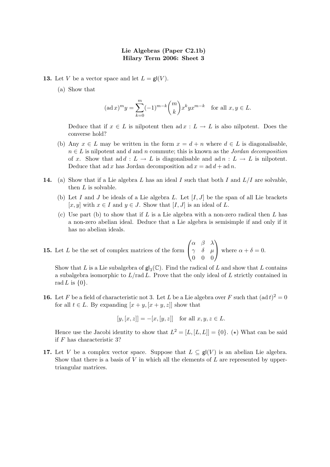- **13.** Let V be a vector space and let  $L = gl(V)$ .
	- (a) Show that

$$
(\text{ad }x)^m y = \sum_{k=0}^m (-1)^{m-k} \binom{m}{k} x^k y x^{m-k} \quad \text{for all } x, y \in L.
$$

Deduce that if  $x \in L$  is nilpotent then ad  $x : L \to L$  is also nilpotent. Does the converse hold?

- (b) Any  $x \in L$  may be written in the form  $x = d + n$  where  $d \in L$  is diagonalisable,  $n \in L$  is nilpotent and d and n commute; this is known as the *Jordan decomposition* of x. Show that add :  $L \to L$  is diagonalisable and adn :  $L \to L$  is nilpotent. Deduce that ad x has Jordan decomposition ad  $x = ad d + ad n$ .
- 14. (a) Show that if a Lie algebra L has an ideal I such that both I and  $L/I$  are solvable, then  $L$  is solvable.
	- (b) Let I and J be ideals of a Lie algebra L. Let  $[I, J]$  be the span of all Lie brackets [x, y] with  $x \in I$  and  $y \in J$ . Show that [I, J] is an ideal of L.
	- (c) Use part (b) to show that if  $L$  is a Lie algebra with a non-zero radical then  $L$  has a non-zero abelian ideal. Deduce that a Lie algebra is semisimple if and only if it has no abelian ideals.
- **15.** Let  $L$  be the set of complex matrices of the form  $\sqrt{ }$  $\overline{1}$  $\alpha$   $\beta$   $\lambda$  $\gamma$  δ  $\mu$ 0 0 0  $\setminus$ where  $\alpha + \delta = 0$ .

Show that L is a Lie subalgebra of  $\mathsf{gl}_3(\mathbb{C})$ . Find the radical of L and show that L contains a subalgebra isomorphic to  $L/rad L$ . Prove that the only ideal of  $L$  strictly contained in rad L is  $\{0\}$ .

**16.** Let F be a field of characteristic not 3. Let L be a Lie algebra over F such that  $(\text{ad } t)^2 = 0$ for all  $t \in L$ . By expanding  $[x + y, [x + y, z]]$  show that

 $[y, [x, z]] = -[x, [y, z]]$  for all  $x, y, z \in L$ .

Hence use the Jacobi identity to show that  $L^2 = [L, [L, L]] = \{0\}$ . (\*) What can be said if F has characteristic 3?

17. Let V be a complex vector space. Suppose that  $L \subseteq \mathsf{gl}(V)$  is an abelian Lie algebra. Show that there is a basis of  $V$  in which all the elements of  $L$  are represented by uppertriangular matrices.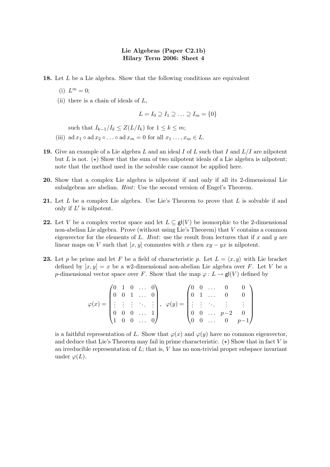18. Let L be a Lie algebra. Show that the following conditions are equivalent

- (i)  $L^m = 0;$
- (ii) there is a chain of ideals of  $L$ ,

$$
L = I_0 \supseteq I_1 \supseteq \ldots \supseteq I_m = \{0\}
$$

such that  $I_{k-1}/I_k \leq Z(L/I_k)$  for  $1 \leq k \leq m$ ;

- (iii) ad  $x_1 \circ$  ad  $x_2 \circ \ldots \circ$  ad  $x_m = 0$  for all  $x_1 \ldots, x_m \in L$ .
- 19. Give an example of a Lie algebra L and an ideal I of L such that I and  $L/I$  are nilpotent but L is not. ( $\star$ ) Show that the sum of two nilpotent ideals of a Lie algebra is nilpotent; note that the method used in the solvable case cannot be applied here.
- 20. Show that a complex Lie algebra is nilpotent if and only if all its 2-dimensional Lie subalgebras are abelian. Hint: Use the second version of Engel's Theorem.
- 21. Let L be a complex Lie algebra. Use Lie's Theorem to prove that L is solvable if and only if  $L'$  is nilpotent.
- 22. Let V be a complex vector space and let  $L \subseteq \mathbf{g}(\{V\})$  be isomorphic to the 2-dimensional non-abelian Lie algebra. Prove (without using Lie's Theorem) that V contains a common eigenvector for the elements of L. Hint: use the result from lectures that if x and y are linear maps on V such that  $[x, y]$  commutes with x then  $xy - yx$  is nilpotent.
- **23.** Let p be prime and let F be a field of characteristic p. Let  $L = \langle x, y \rangle$  with Lie bracket defined by  $[x, y] = x$  be a w2-dimensional non-abelian Lie algebra over F. Let V be a p-dimensional vector space over F. Show that the map  $\varphi: L \to \mathsf{gl}(V)$  defined by

$$
\varphi(x) = \begin{pmatrix} 0 & 1 & 0 & \dots & 0 \\ 0 & 0 & 1 & \dots & 0 \\ \vdots & \vdots & \vdots & \ddots & \vdots \\ 0 & 0 & 0 & \dots & 1 \\ 1 & 0 & 0 & \dots & 0 \end{pmatrix}, \quad \varphi(y) = \begin{pmatrix} 0 & 0 & \dots & 0 & 0 \\ 0 & 1 & \dots & 0 & 0 \\ \vdots & \vdots & \ddots & \vdots & \vdots \\ 0 & 0 & \dots & p-2 & 0 \\ 0 & 0 & \dots & 0 & p-1 \end{pmatrix}
$$

is a faithful representation of L. Show that  $\varphi(x)$  and  $\varphi(y)$  have no common eigenvector, and deduce that Lie's Theorem may fail in prime characteristic.  $(\star)$  Show that in fact V is an irreducible representation of  $L$ ; that is,  $V$  has no non-trivial proper subspace invariant under  $\varphi(L)$ .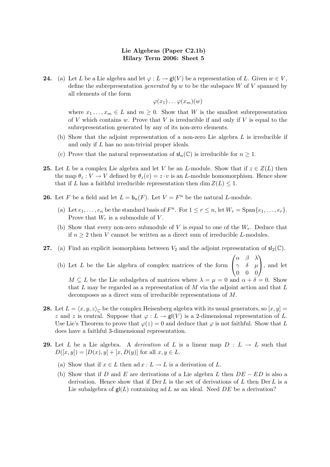**24.** (a) Let L be a Lie algebra and let  $\varphi: L \to \mathsf{gl}(V)$  be a representation of L. Given  $w \in V$ , define the subrepresentation *generated by w* to be the subspace  $W$  of  $V$  spanned by all elements of the form

 $\varphi(x_1)\dots\varphi(x_m)(w)$ 

where  $x_1 \ldots, x_m \in L$  and  $m \geq 0$ . Show that W is the smallest subrepresentation of V which contains w. Prove that V is irreducible if and only if V is equal to the subrepresentation generated by any of its non-zero elements.

- (b) Show that the adjoint representation of a non-zero Lie algebra L is irreducible if and only if L has no non-trivial proper ideals.
- (c) Prove that the natural representation of  $\mathsf{sl}_n(\mathbb{C})$  is irreducible for  $n \geq 1$ .
- 25. Let L be a complex Lie algebra and let V be an L-module. Show that if  $z \in Z(L)$  then the map  $\theta_z : V \to V$  defined by  $\theta_z(v) = z \cdot v$  is an *L*-module homomorphism. Hence show that if L has a faithful irreducible representation then dim  $Z(L) \leq 1$ .
- **26.** Let F be a field and let  $L = b_n(F)$ . Let  $V = F^n$  be the natural L-module.
	- (a) Let  $e_1, \ldots, e_n$  be the standard basis of  $F^n$ . For  $1 \le r \le n$ , let  $W_r = \text{Span}\{e_1, \ldots, e_r\}$ . Prove that  $W_r$  is a submodule of V.
	- (b) Show that every non-zero submodule of  $V$  is equal to one of the  $W_r$ . Deduce that if  $n \geq 2$  then V cannot be written as a direct sum of irreducible L-modules.
- **27.** (a) Find an explicit isomorphism between  $V_2$  and the adjoint representation of  $sl_2(\mathbb{C})$ .

(b) Let L be the Lie algebra of complex matrices of the form  $\sqrt{ }$  $\overline{1}$  $\alpha$  β  $\lambda$  $\gamma$  δ  $\mu$ 0 0 0  $\setminus$ , and let  $M \subseteq L$  be the Lie subalgebra of matrices where  $\lambda = \mu = 0$  and  $\alpha + \delta = 0$ . Show that  $L$  may be regarded as a representation of  $M$  via the adjoint action and that  $L$ decomposes as a direct sum of irreducible representations of M.

- **28.** Let  $L = \langle x, y, z \rangle_{\mathbb{C}}$  be the complex Heisenberg algebra with its usual generators, so  $[x, y] =$ z and z is central. Suppose that  $\varphi: L \to \mathsf{gl}(V)$  is a 2-dimensional representation of L. Use Lie's Theorem to prove that  $\varphi(z) = 0$  and deduce that  $\varphi$  is not faithful. Show that L does have a faithful 3-dimensional representation.
- 29. Let L be a Lie algebra. A derivation of L is a linear map  $D : L \to L$  such that  $D([x, y]) = [D(x), y] + [x, D(y)]$  for all  $x, y \in L$ .
	- (a) Show that if  $x \in L$  then ad  $x : L \to L$  is a derivation of L.
	- (b) Show that if D and E are derivations of a Lie algebra L then  $DE ED$  is also a derivation. Hence show that if  $Der L$  is the set of derivations of  $L$  then  $Der L$  is a Lie subalgebra of  $g(L)$  containing ad L as an ideal. Need DE be a derivation?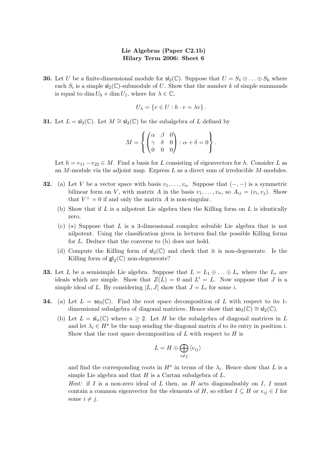**30.** Let U be a finite-dimensional module for  $\mathsf{sl}_2(\mathbb{C})$ . Suppose that  $U = S_1 \oplus \ldots \oplus S_k$  where each  $S_i$  is a simple  $\mathsf{sl}_2(\mathbb{C})$ -submodule of U. Show that the number k of simple summands is equal to dim  $U_0 + \dim U_1$ , where for  $\lambda \in \mathbb{C}$ ,

$$
U_{\lambda} = \{ v \in U : h \cdot v = \lambda v \}.
$$

**31.** Let  $L = sl_3(\mathbb{C})$ . Let  $M \cong sl_2(\mathbb{C})$  be the subalgebra of L defined by

$$
M = \left\{ \begin{pmatrix} \alpha & \beta & 0 \\ \gamma & \delta & 0 \\ 0 & 0 & 0 \end{pmatrix} : \alpha + \delta = 0 \right\}.
$$

Let  $h = e_{11} - e_{22} \in M$ . Find a basis for L consisting of eigenvectors for h. Consider L as an  $M$ -module via the adjoint map. Express  $L$  as a direct sum of irreducible  $M$ -modules.

- **32.** (a) Let V be a vector space with basis  $v_1, \ldots, v_n$ . Suppose that  $(-,-)$  is a symmetric bilinear form on V, with matrix A in the basis  $v_1, \ldots, v_n$ , so  $A_{ij} = (v_i, v_j)$ . Show that  $V^{\perp} = 0$  if and only the matrix A is non-singular.
	- (b) Show that if  $L$  is a nilpotent Lie algebra then the Killing form on  $L$  is identically zero.
	- (c)  $\star$ ) Suppose that L is a 3-dimensional complex solvable Lie algebra that is not nilpotent. Using the classification given in lectures find the possible Killing forms for L. Deduce that the converse to (b) does not hold.
	- (d) Compute the Killing form of  $sl_2(\mathbb{C})$  and check that it is non-degenerate. Is the Killing form of  $\mathsf{gl}_2(\mathbb{C})$  non-degenerate?
- **33.** Let L be a semisimple Lie algebra. Suppose that  $L = L_1 \oplus \ldots \oplus L_r$  where the  $L_r$  are ideals which are simple. Show that  $Z(L) = 0$  and  $L' = L$ . Now suppose that J is a simple ideal of L. By considering  $[L, J]$  show that  $J = L_i$  for some i.
- **34.** (a) Let  $L = \mathsf{so}_3(\mathbb{C})$ . Find the root space decomposition of L with respect to its 1dimensional subalgebra of diagonal matrices. Hence show that  $\mathsf{so}_3(\mathbb{C}) \cong \mathsf{sl}_2(\mathbb{C})$ .
	- (b) Let  $L = \mathsf{sl}_n(\mathbb{C})$  where  $n \geq 2$ . Let H be the subalgebra of diagonal matrices in L and let  $\lambda_i \in H^*$  be the map sending the diagonal matrix d to its entry in position i. Show that the root space decomposition of  $L$  with respect to  $H$  is

$$
L = H \oplus \bigoplus_{i \neq j} \langle e_{ij} \rangle
$$

and find the corresponding roots in  $H^*$  in terms of the  $\lambda_i$ . Hence show that L is a simple Lie algebra and that  $H$  is a Cartan subalgebra of  $L$ .

*Hint*: if I is a non-zero ideal of L then, as H acts diagonalisably on I, I must contain a common eigenvector for the elements of H, so either  $I \subseteq H$  or  $e_{ij} \in I$  for some  $i \neq j$ .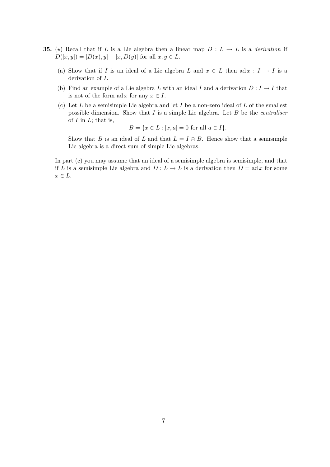- **35.** ( $\star$ ) Recall that if L is a Lie algebra then a linear map  $D : L \to L$  is a derivation if  $D([x, y]) = [D(x), y] + [x, D(y)]$  for all  $x, y \in L$ .
	- (a) Show that if I is an ideal of a Lie algebra L and  $x \in L$  then ad  $x : I \to I$  is a derivation of I.
	- (b) Find an example of a Lie algebra L with an ideal I and a derivation  $D: I \to I$  that is not of the form ad x for any  $x \in I$ .
	- (c) Let  $L$  be a semisimple Lie algebra and let  $I$  be a non-zero ideal of  $L$  of the smallest possible dimension. Show that  $I$  is a simple Lie algebra. Let  $B$  be the *centraliser* of  $I$  in  $L$ ; that is,

$$
B = \{ x \in L : [x, a] = 0 \text{ for all } a \in I \}.
$$

Show that B is an ideal of L and that  $L = I \oplus B$ . Hence show that a semisimple Lie algebra is a direct sum of simple Lie algebras.

In part (c) you may assume that an ideal of a semisimple algebra is semisimple, and that if L is a semisimple Lie algebra and  $D: L \to L$  is a derivation then  $D = ad x$  for some  $x \in L$ .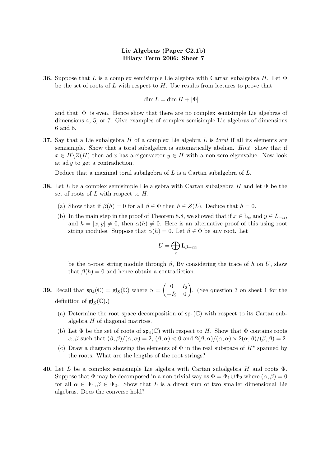**36.** Suppose that L is a complex semisimple Lie algebra with Cartan subalgebra H. Let  $\Phi$ be the set of roots of L with respect to  $H$ . Use results from lectures to prove that

$$
\dim L = \dim H + |\Phi|
$$

and that  $|\Phi|$  is even. Hence show that there are no complex semisimple Lie algebras of dimensions 4, 5, or 7. Give examples of complex semisimple Lie algebras of dimensions 6 and 8.

**37.** Say that a Lie subalgebra  $H$  of a complex Lie algebra  $L$  is toral if all its elements are semisimple. Show that a toral subalgebra is automatically abelian. Hint: show that if  $x \in H \backslash Z(H)$  then ad x has a eigenvector  $y \in H$  with a non-zero eigenvalue. Now look at ad  $y$  to get a contradiction.

Deduce that a maximal toral subalgebra of  $L$  is a Cartan subalgebra of  $L$ .

- **38.** Let L be a complex semisimple Lie algebra with Cartan subalgebra H and let  $\Phi$  be the set of roots of  $L$  with respect to  $H$ .
	- (a) Show that if  $\beta(h) = 0$  for all  $\beta \in \Phi$  then  $h \in Z(L)$ . Deduce that  $h = 0$ .
	- (b) In the main step in the proof of Theorem 8.8, we showed that if  $x \in L_{\alpha}$  and  $y \in L_{-\alpha}$ , and  $h = [x, y] \neq 0$ , then  $\alpha(h) \neq 0$ . Here is an alternative proof of this using root string modules. Suppose that  $\alpha(h) = 0$ . Let  $\beta \in \Phi$  be any root. Let

$$
U=\bigoplus_c \mathrm{L}_{\beta+c\alpha}
$$

be the  $\alpha$ -root string module through  $\beta$ , By considering the trace of h on U, show that  $\beta(h) = 0$  and hence obtain a contradiction.

- **39.** Recall that  $\mathsf{sp}_4(\mathbb{C}) = \mathsf{gl}_S(\mathbb{C})$  where  $S = \begin{pmatrix} 0 & I_2 \\ -I_2 & 0 \end{pmatrix}$  $-I_2$  0 . (See question 3 on sheet 1 for the definition of  $\mathsf{gl}_S(\mathbb{C})$ .)
	- (a) Determine the root space decomposition of  $sp_4(\mathbb{C})$  with respect to its Cartan subalgebra H of diagonal matrices.
	- (b) Let  $\Phi$  be the set of roots of  $\mathsf{sp}_4(\mathbb{C})$  with respect to H. Show that  $\Phi$  contains roots  $\alpha, \beta$  such that  $(\beta, \beta)/(\alpha, \alpha) = 2$ ,  $(\beta, \alpha) < 0$  and  $2(\beta, \alpha)/(\alpha, \alpha) \times 2(\alpha, \beta)/(\beta, \beta) = 2$ .
	- (c) Draw a diagram showing the elements of  $\Phi$  in the real subspace of  $H^*$  spanned by the roots. What are the lengths of the root strings?
- 40. Let L be a complex semisimple Lie algebra with Cartan subalgebra H and roots  $\Phi$ . Suppose that  $\Phi$  may be decomposed in a non-trivial way as  $\Phi = \Phi_1 \cup \Phi_2$  where  $(\alpha, \beta) = 0$ for all  $\alpha \in \Phi_1, \beta \in \Phi_2$ . Show that L is a direct sum of two smaller dimensional Lie algebras. Does the converse hold?